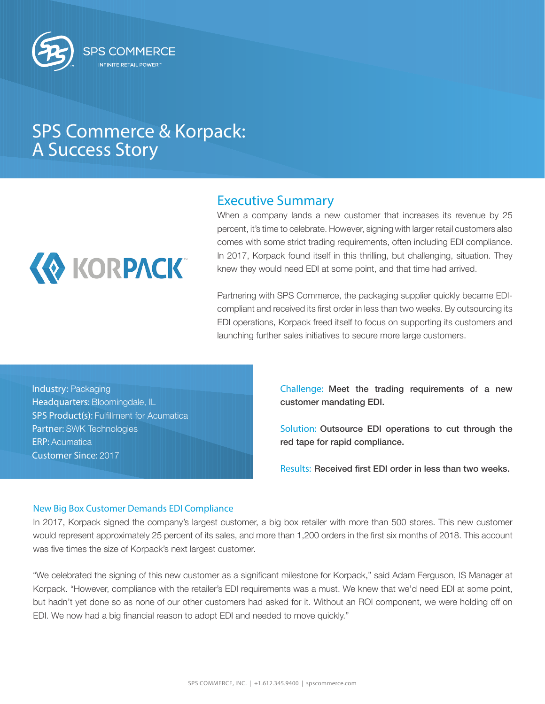

## SPS Commerce & Korpack: A Success Story



## Executive Summary

When a company lands a new customer that increases its revenue by 25 percent, it's time to celebrate. However, signing with larger retail customers also comes with some strict trading requirements, often including EDI compliance. In 2017, Korpack found itself in this thrilling, but challenging, situation. They knew they would need EDI at some point, and that time had arrived.

Partnering with SPS Commerce, the packaging supplier quickly became EDIcompliant and received its first order in less than two weeks. By outsourcing its EDI operations, Korpack freed itself to focus on supporting its customers and launching further sales initiatives to secure more large customers.

Industry: Packaging Headquarters: Bloomingdale, IL SPS Product(s): Fulfillment for Acumatica Partner: SWK Technologies ERP: Acumatica Customer Since: 2017

Challenge: Meet the trading requirements of a new customer mandating EDI.

Solution: Outsource EDI operations to cut through the red tape for rapid compliance.

Results: Received first EDI order in less than two weeks.

## New Big Box Customer Demands EDI Compliance

In 2017, Korpack signed the company's largest customer, a big box retailer with more than 500 stores. This new customer would represent approximately 25 percent of its sales, and more than 1,200 orders in the first six months of 2018. This account was five times the size of Korpack's next largest customer.

"We celebrated the signing of this new customer as a significant milestone for Korpack," said Adam Ferguson, IS Manager at Korpack. "However, compliance with the retailer's EDI requirements was a must. We knew that we'd need EDI at some point, but hadn't yet done so as none of our other customers had asked for it. Without an ROI component, we were holding off on EDI. We now had a big financial reason to adopt EDI and needed to move quickly."